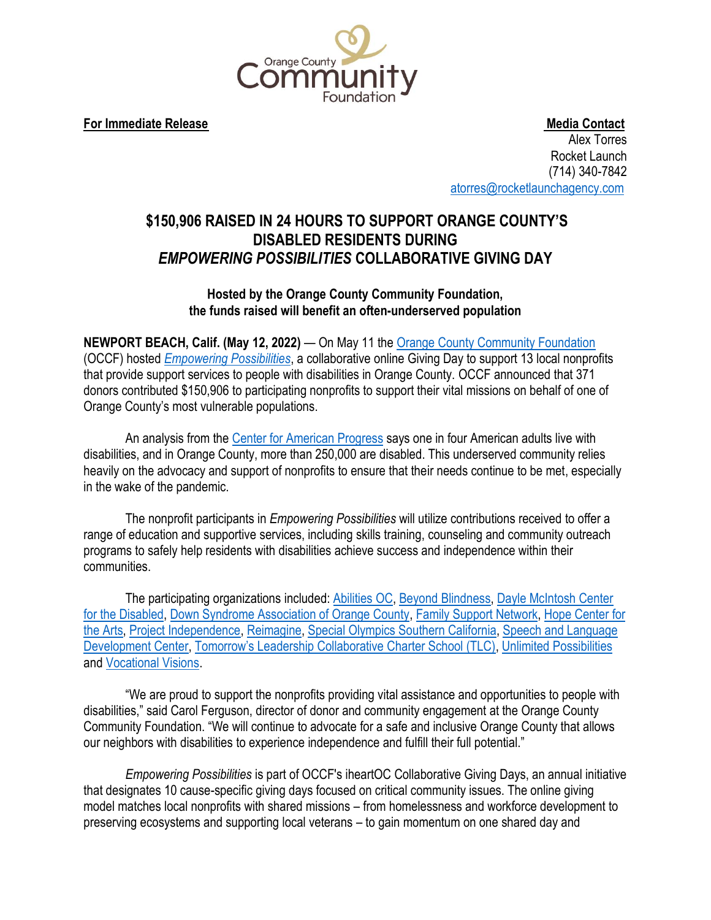

**For Immediate Release Media Contact** Alex Torres Rocket Launch (714) 340-7842 [atorres@rocketlaunchagency.com](mailto:atorres@rocketlaunchagency.com)

## **\$150,906 RAISED IN 24 HOURS TO SUPPORT ORANGE COUNTY'S DISABLED RESIDENTS DURING**  *EMPOWERING POSSIBILITIES* **COLLABORATIVE GIVING DAY**

## **Hosted by the Orange County Community Foundation, the funds raised will benefit an often-underserved population**

**NEWPORT BEACH, Calif. (May 12, 2022)** — On May 11 the [Orange County Community Foundation](https://www.oc-cf.org/) (OCCF) hosted *[Empowering Possibilities](https://empowering-possibilities-giving-day.ocnonprofitcentral.org/)*, a collaborative online Giving Day to support 13 local nonprofits that provide support services to people with disabilities in Orange County. OCCF announced that 371 donors contributed \$150,906 to participating nonprofits to support their vital missions on behalf of one of Orange County's most vulnerable populations.

An analysis from the [Center for American Progress](https://abcnews.go.com/Health/covid-19-cases-rise-disability-advocates-cdc/story?id=83942206) says one in four American adults live with disabilities, and in Orange County, more than 250,000 are disabled. This underserved community relies heavily on the advocacy and support of nonprofits to ensure that their needs continue to be met, especially in the wake of the pandemic.

The nonprofit participants in *Empowering Possibilities* will utilize contributions received to offer a range of education and supportive services, including skills training, counseling and community outreach programs to safely help residents with disabilities achieve success and independence within their communities.

The participating organizations included: [Abilities OC,](https://empowering-possibilities-giving-day.ocnonprofitcentral.org/organizations/abilities-oc) [Beyond Blindness,](https://empowering-possibilities-giving-day.ocnonprofitcentral.org/organizations/beyond-blindness) Dayle McIntosh Center [for the Disabled,](https://empowering-possibilities-giving-day.ocnonprofitcentral.org/organizations/dayle-mcintosh-center-for-the-disabled) [Down Syndrome Association of Orange County,](https://empowering-possibilities-giving-day.ocnonprofitcentral.org/organizations/down-syndrome-association-of-orange-county) [Family Support Network,](https://empowering-possibilities-giving-day.ocnonprofitcentral.org/organizations/family-support-network-83b93804-dcab-478c-88b8-69493722b30e) [Hope Center for](https://empowering-possibilities-giving-day.ocnonprofitcentral.org/organizations/hope-center-for-the-arts)  [the Arts,](https://empowering-possibilities-giving-day.ocnonprofitcentral.org/organizations/hope-center-for-the-arts) [Project Independence,](https://empowering-possibilities-giving-day.ocnonprofitcentral.org/organizations/project-independence) [Reimagine,](https://empowering-possibilities-giving-day.ocnonprofitcentral.org/organizations/rehabilitation-institute-of-southern-california) [Special Olympics Southern California,](https://empowering-possibilities-giving-day.ocnonprofitcentral.org/organizations/special-olympics-southern-california) [Speech and Language](https://empowering-possibilities-giving-day.ocnonprofitcentral.org/organizations/sldc)  [Development Center,](https://empowering-possibilities-giving-day.ocnonprofitcentral.org/organizations/sldc) [Tomorrow's Leadership Collaborative Charter School \(TLC\)](https://empowering-possibilities-giving-day.ocnonprofitcentral.org/organizations/tomorrow-s-leadership-collaborative-charter-school-tlc), [Unlimited Possibilities](https://empowering-possibilities-giving-day.ocnonprofitcentral.org/organizations/united-cerebral-palsy-association-of-orange-county-inc) and [Vocational Visions.](https://empowering-possibilities-giving-day.ocnonprofitcentral.org/organizations/vocational-visions)

"We are proud to support the nonprofits providing vital assistance and opportunities to people with disabilities," said Carol Ferguson, director of donor and community engagement at the Orange County Community Foundation. "We will continue to advocate for a safe and inclusive Orange County that allows our neighbors with disabilities to experience independence and fulfill their full potential."

*Empowering Possibilities* is part of OCCF's iheartOC Collaborative Giving Days, an annual initiative that designates 10 cause-specific giving days focused on critical community issues. The online giving model matches local nonprofits with shared missions – from homelessness and workforce development to preserving ecosystems and supporting local veterans – to gain momentum on one shared day and